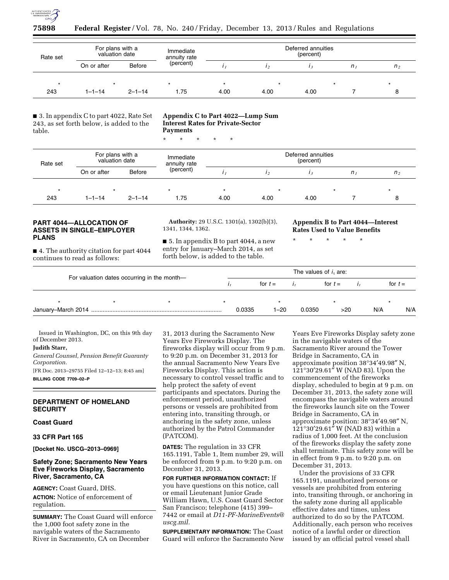

## **75898 Federal Register** / Vol. 78, No. 240 / Friday, December 13, 2013 / Rules and Regulations

| Rate set | For plans with a<br>valuation date |              | Immediate<br>annuity rate | Deferred annuities<br>(percent) |      |      |             |                |  |  |
|----------|------------------------------------|--------------|---------------------------|---------------------------------|------|------|-------------|----------------|--|--|
|          | On or after                        | Before       | (percent)                 |                                 |      |      | $n_{\rm i}$ | n <sub>2</sub> |  |  |
|          |                                    |              |                           |                                 |      |      |             |                |  |  |
| 243      | $1 - 1 - 14$                       | $2 - 1 - 14$ | 1.75                      | 4.00                            | 4.00 | 4.00 |             |                |  |  |

■ 3. In appendix C to part 4022, Rate Set 243, as set forth below, is added to the table.

#### **Appendix C to Part 4022—Lump Sum Interest Rates for Private-Sector Payments**

\* \* \* \* \*

| Rate set | For plans with a<br>valuation date |               | Immediate<br>annuity rate | Deferred annuities<br>(percent) |         |      |         |                |  |  |
|----------|------------------------------------|---------------|---------------------------|---------------------------------|---------|------|---------|----------------|--|--|
|          | On or after                        | <b>Before</b> | (percent)                 |                                 |         |      | $n_{I}$ | n <sub>2</sub> |  |  |
| $\star$  |                                    |               |                           |                                 | $\star$ |      |         |                |  |  |
| 243      | 1-1-14                             | $2 - 1 - 14$  | 1.75                      | 4.00                            | 4.00    | 4.00 |         |                |  |  |

## **PART 4044—ALLOCATION OF ASSETS IN SINGLE–EMPLOYER PLANS**

■ 4. The authority citation for part 4044 continues to read as follows:

**Authority:** 29 U.S.C. 1301(a), 1302(b)(3), 1341, 1344, 1362.

■ 5. In appendix B to part 4044, a new entry for January–March 2014, as set forth below, is added to the table.

**Appendix B to Part 4044—Interest Rates Used to Value Benefits** 

\* \* \* \* \*

|                                             |  |  |  | The values of $i_1$ are: |        |           |     |           |  |  |  |
|---------------------------------------------|--|--|--|--------------------------|--------|-----------|-----|-----------|--|--|--|
| For valuation dates occurring in the month- |  |  |  | for $t =$                |        | for $t =$ |     | for $t =$ |  |  |  |
|                                             |  |  |  |                          |        |           |     |           |  |  |  |
|                                             |  |  |  | 0.0335<br>$1 - 20$       | 0.0350 | >20       | N/A | N/A       |  |  |  |

Issued in Washington, DC, on this 9th day of December 2013.

## **Judith Starr,**

*General Counsel, Pension Benefit Guaranty Corporation.* 

[FR Doc. 2013–29755 Filed 12–12–13; 8:45 am] **BILLING CODE 7709–02–P** 

#### **DEPARTMENT OF HOMELAND SECURITY**

**Coast Guard** 

#### **33 CFR Part 165**

**[Docket No. USCG–2013–0969]** 

## **Safety Zone; Sacramento New Years Eve Fireworks Display, Sacramento River, Sacramento, CA**

**AGENCY:** Coast Guard, DHS. **ACTION:** Notice of enforcement of regulation.

**SUMMARY:** The Coast Guard will enforce the 1,000 foot safety zone in the navigable waters of the Sacramento River in Sacramento, CA on December

31, 2013 during the Sacramento New Years Eve Fireworks Display. The fireworks display will occur from 9 p.m. to 9:20 p.m. on December 31, 2013 for the annual Sacramento New Years Eve Fireworks Display. This action is necessary to control vessel traffic and to help protect the safety of event participants and spectators. During the enforcement period, unauthorized persons or vessels are prohibited from entering into, transiting through, or anchoring in the safety zone, unless authorized by the Patrol Commander (PATCOM).

**DATES:** The regulation in 33 CFR 165.1191, Table 1, Item number 29, will be enforced from 9 p.m. to 9:20 p.m. on December 31, 2013.

**FOR FURTHER INFORMATION CONTACT:** If you have questions on this notice, call or email Lieutenant Junior Grade William Hawn, U.S. Coast Guard Sector San Francisco; telephone (415) 399– 7442 or email at *[D11-PF-MarineEvents@](mailto:D11-PF-MarineEvents@uscg.mil) [uscg.mil.](mailto:D11-PF-MarineEvents@uscg.mil)* 

**SUPPLEMENTARY INFORMATION:** The Coast Guard will enforce the Sacramento New

Years Eve Fireworks Display safety zone in the navigable waters of the Sacramento River around the Tower Bridge in Sacramento, CA in approximate position 38°34′49.98″ N, 121°30′29.61″ W (NAD 83). Upon the commencement of the fireworks display, scheduled to begin at 9 p.m. on December 31, 2013, the safety zone will encompass the navigable waters around the fireworks launch site on the Tower Bridge in Sacramento, CA in approximate position: 38°34′49.98″ N, 121°30′29.61″ W (NAD 83) within a radius of 1,000 feet. At the conclusion of the fireworks display the safety zone shall terminate. This safety zone will be in effect from 9 p.m. to 9:20 p.m. on December 31, 2013.

Under the provisions of 33 CFR 165.1191, unauthorized persons or vessels are prohibited from entering into, transiting through, or anchoring in the safety zone during all applicable effective dates and times, unless authorized to do so by the PATCOM. Additionally, each person who receives notice of a lawful order or direction issued by an official patrol vessel shall